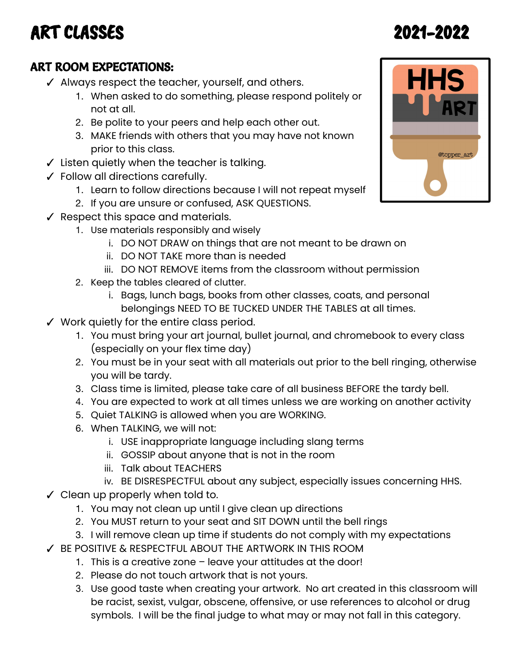## ART CLASSES 2021-2022

#### ART ROOM EXPECTATIONS:

- ✓ Always respect the teacher, yourself, and others.
	- 1. When asked to do something, please respond politely or not at all.
	- 2. Be polite to your peers and help each other out.
	- 3. MAKE friends with others that you may have not known prior to this class.
- ✓ Listen quietly when the teacher is talking.
- ✓ Follow all directions carefully.
	- 1. Learn to follow directions because I will not repeat myself
	- 2. If you are unsure or confused, ASK QUESTIONS.
- ✓ Respect this space and materials.
	- 1. Use materials responsibly and wisely
		- i. DO NOT DRAW on things that are not meant to be drawn on
		- ii. DO NOT TAKE more than is needed
		- iii. DO NOT REMOVE items from the classroom without permission
	- 2. Keep the tables cleared of clutter.
		- i. Bags, lunch bags, books from other classes, coats, and personal belongings NEED TO BE TUCKED UNDER THE TABLES at all times.
- ✓ Work quietly for the entire class period.
	- 1. You must bring your art journal, bullet journal, and chromebook to every class (especially on your flex time day)
	- 2. You must be in your seat with all materials out prior to the bell ringing, otherwise you will be tardy.
	- 3. Class time is limited, please take care of all business BEFORE the tardy bell.
	- 4. You are expected to work at all times unless we are working on another activity
	- 5. Quiet TALKING is allowed when you are WORKING.
	- 6. When TALKING, we will not:
		- i. USE inappropriate language including slang terms
		- ii. GOSSIP about anyone that is not in the room
		- iii. Talk about TEACHERS
		- iv. BE DISRESPECTFUL about any subject, especially issues concerning HHS.
- ✓ Clean up properly when told to.
	- 1. You may not clean up until I give clean up directions
	- 2. You MUST return to your seat and SIT DOWN until the bell rings
	- 3. I will remove clean up time if students do not comply with my expectations
- ✓ BE POSITIVE & RESPECTFUL ABOUT THE ARTWORK IN THIS ROOM
	- 1. This is a creative zone leave your attitudes at the door!
	- 2. Please do not touch artwork that is not yours.
	- 3. Use good taste when creating your artwork. No art created in this classroom will be racist, sexist, vulgar, obscene, offensive, or use references to alcohol or drug symbols. I will be the final judge to what may or may not fall in this category.